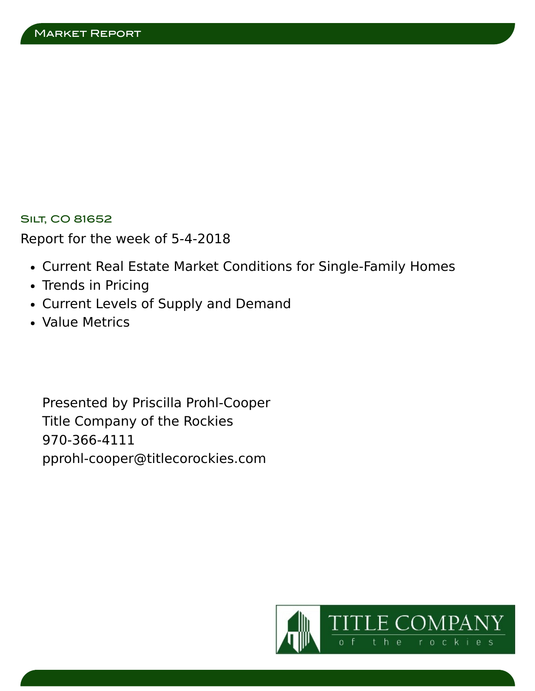# **SILT, CO 81652**

Report for the week of 5-4-2018

- Current Real Estate Market Conditions for Single-Family Homes
- Trends in Pricing
- Current Levels of Supply and Demand
- Value Metrics

Presented by Priscilla Prohl-Cooper Title Company of the Rockies 970-366-4111 pprohl-cooper@titlecorockies.com

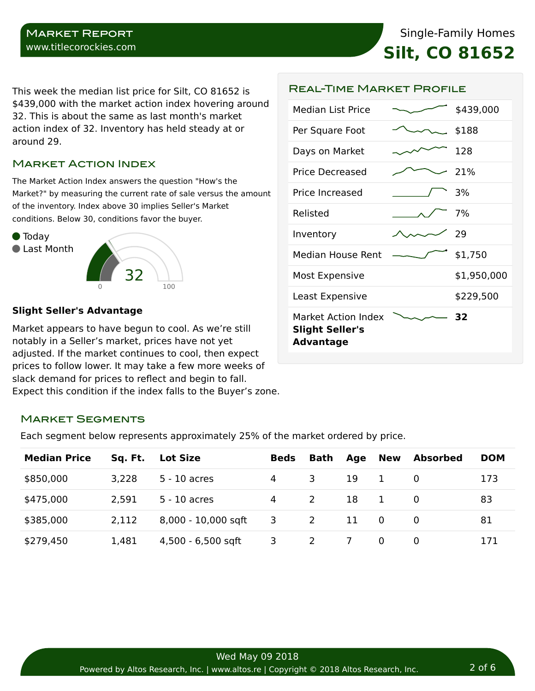#### Market Report www.titlecorockies.com

Single-Family Homes **Silt, CO 81652**

This week the median list price for Silt, CO 81652 is \$439,000 with the market action index hovering around 32. This is about the same as last month's market action index of 32. Inventory has held steady at or around 29.

# Market Action Index

The Market Action Index answers the question "How's the Market?" by measuring the current rate of sale versus the amount of the inventory. Index above 30 implies Seller's Market conditions. Below 30, conditions favor the buyer.



#### **Slight Seller's Advantage**

Market appears to have begun to cool. As we're still notably in a Seller's market, prices have not yet adjusted. If the market continues to cool, then expect prices to follow lower. It may take a few more weeks of slack demand for prices to reflect and begin to fall. Expect this condition if the index falls to the Buyer's zone.

| <b>Median List Price</b> | \$439,000   |
|--------------------------|-------------|
| Per Square Foot          | \$188       |
| Days on Market           | 128         |
| Price Decreased          | -21%        |
| Price Increased          | 3%          |
| Relisted                 | 7%          |
| Inventory                | 29          |
| Median House Rent        | \$1,750     |
| Most Expensive           | \$1,950,000 |
|                          |             |
| Least Expensive          | \$229,500   |

Real-Time Market Profile

#### Market Segments

Each segment below represents approximately 25% of the market ordered by price.

| <b>Median Price</b> | Sq. Ft. | <b>Lot Size</b>     | <b>Beds</b> | Bath         | Age      | <b>New</b>   | <b>Absorbed</b> | <b>DOM</b> |
|---------------------|---------|---------------------|-------------|--------------|----------|--------------|-----------------|------------|
| \$850,000           | 3,228   | $5 - 10$ acres      | 4           | 3            | 19       |              |                 | 173        |
| \$475,000           | 2,591   | $5 - 10$ acres      | 4           | 2            | 18       | $\mathbf{1}$ | $\Omega$        | 83         |
| \$385,000           | 2,112   | 8,000 - 10,000 sqft | 3           | 2            | 11       | - 0          | -0              | 81         |
| \$279,450           | 1,481   | 4,500 - 6,500 sqft  | 3           | <sup>2</sup> | <u>7</u> | 0            | 0               | 171        |

2 of 6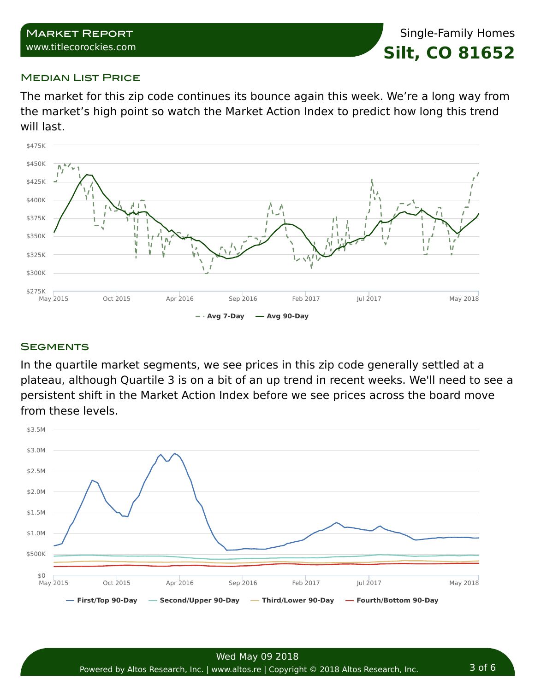## Market Report www.titlecorockies.com

Single-Family Homes **Silt, CO 81652**

## **MEDIAN LIST PRICE**

The market for this zip code continues its bounce again this week. We're a long way from the market's high point so watch the Market Action Index to predict how long this trend will last.



## **SEGMENTS**

In the quartile market segments, we see prices in this zip code generally settled at a plateau, although Quartile 3 is on a bit of an up trend in recent weeks. We'll need to see a persistent shift in the Market Action Index before we see prices across the board move from these levels.

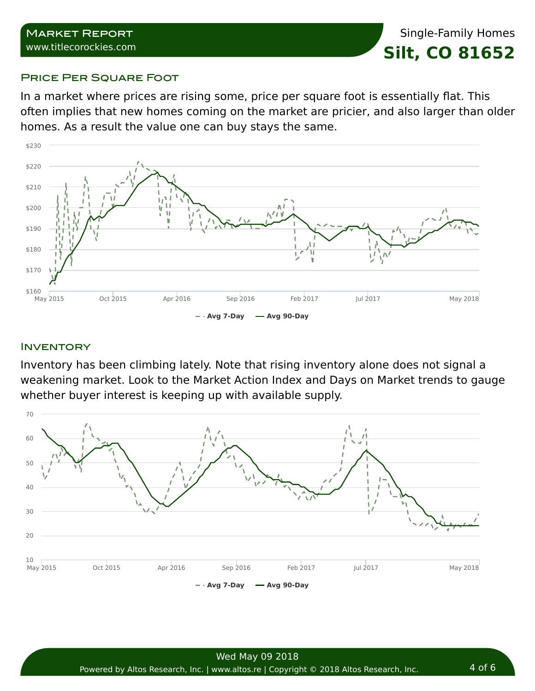## PRICE PER SQUARE FOOT

In a market where prices are rising some, price per square foot is essentially flat. This often implies that new homes coming on the market are pricier, and also larger than older homes. As a result the value one can buy stays the same.



# **INVENTORY**

Inventory has been climbing lately. Note that rising inventory alone does not signal a weakening market. Look to the Market Action Index and Days on Market trends to gauge whether buyer interest is keeping up with available supply.

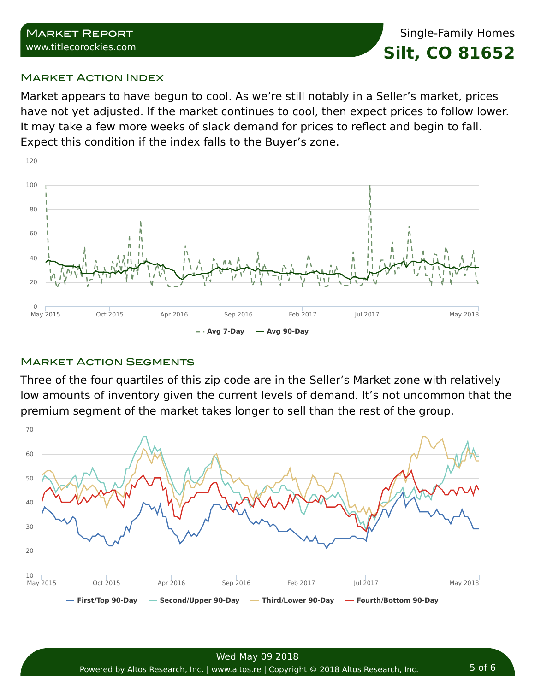## **MARKET ACTION INDEX**

Market appears to have begun to cool. As we're still notably in a Seller's market, prices have not yet adjusted. If the market continues to cool, then expect prices to follow lower. It may take a few more weeks of slack demand for prices to reflect and begin to fall. Expect this condition if the index falls to the Buyer's zone.



# **MARKET ACTION SEGMENTS**

Three of the four quartiles of this zip code are in the Seller's Market zone with relatively low amounts of inventory given the current levels of demand. It's not uncommon that the premium segment of the market takes longer to sell than the rest of the group.